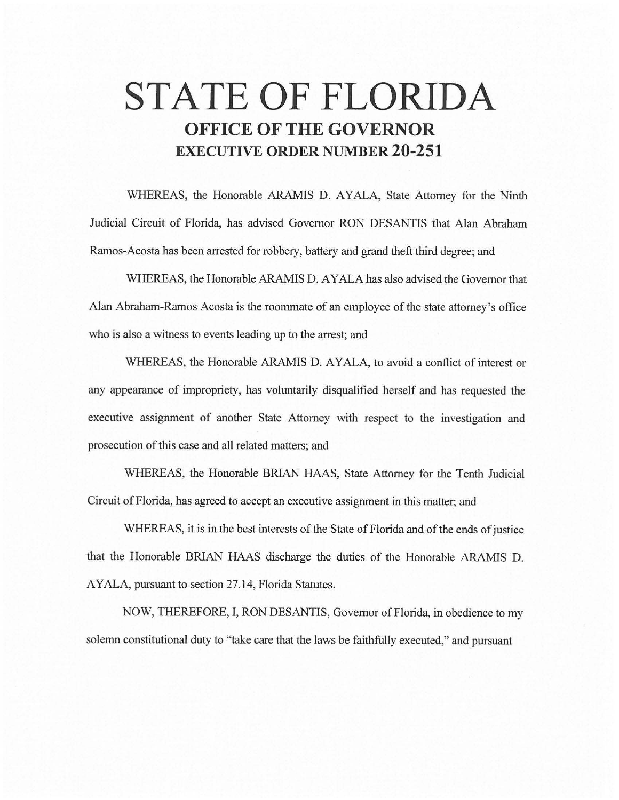# **STATE OF FLORIDA OFFICE OF THE GOVERNOR EXECUTIVE ORDER NUMBER 20-251**

WHEREAS, the Honorable ARAMIS D. AYALA, State Attorney for the Ninth Judicial Circuit of Florida, has advised Governor RON DESANTIS that Alan Abraham Ramos-Acosta has been arrested for robbery, battery and grand theft third degree; and

WHEREAS, the Honorable ARAMIS D. AYALA has also advised the Governor that Alan Abraham-Ramos Acosta is the roommate of an employee of the state attorney's office who is also a witness to events leading up to the arrest; and

WHEREAS, the Honorable ARAMIS D. AYALA, to avoid a conflict of interest or any appearance of impropriety, has voluntarily disqualified herself and has requested the executive assignment of another State Attorney with respect to the investigation and prosecution of this case and all related matters; and

WHEREAS, the Honorable BRIAN HAAS, State Attorney for the Tenth Judicial Circuit of Florida, has agreed to accept an executive assignment in this matter; and

WHEREAS, it is in the best interests of the State of Florida and of the ends of justice that the Honorable BRIAN HAAS discharge the duties of the Honorable ARAMIS D. AYALA, pursuant to section 27.14, Florida Statutes.

NOW, THEREFORE, I, RON DESANTIS, Governor of Florida, in obedience to my solemn constitutional duty to "take care that the laws be faithfully executed," and pursuant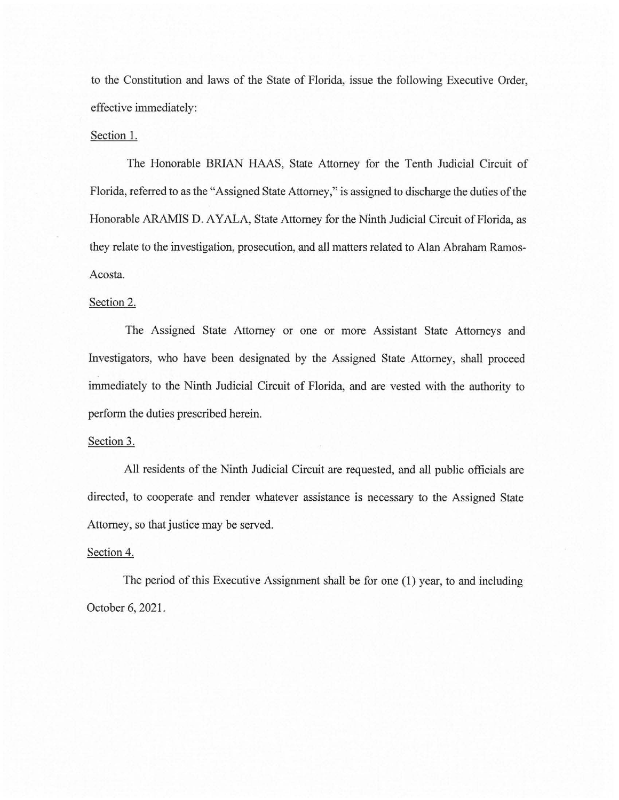to the Constitution and laws of the State of Florida, issue the following Executive Order, effective immediately:

## Section 1.

The Honorable BRIAN HAAS, State Attorney for the Tenth Judicial Circuit of Florida, referred to as the "Assigned State Attorney," is assigned to discharge the duties of the Honorable ARAMIS D. AYALA, State Attorney for the Ninth Judicial Circuit of Florida, as they relate to the investigation, prosecution, and all matters related to Alan Abraham Ramos-Acosta.

# Section 2.

The Assigned State Attorney or one or more Assistant State Attorneys and Investigators, who have been designated by the Assigned State Attorney, shall proceed immediately to the Ninth Judicial Circuit of Florida, and are vested with the authority to perform the duties prescribed herein.

#### Section 3.

All residents of the Ninth Judicial Circuit are requested, and all public officials are directed, to cooperate and render whatever assistance is necessary to the Assigned State Attorney, so that justice may be served.

## Section 4.

The period of this Executive Assignment shall be for one (1) year, to and including October 6, 2021.